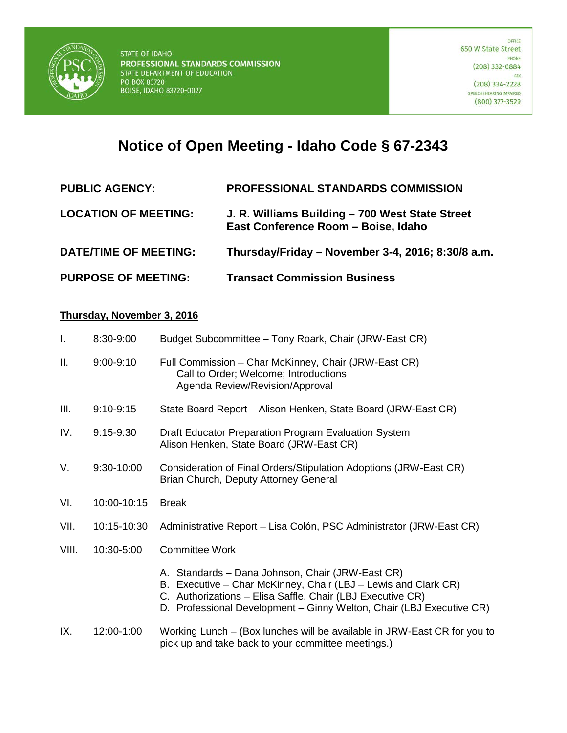

## **Notice of Open Meeting - Idaho Code § 67-2343**

| <b>PUBLIC AGENCY:</b>        | <b>PROFESSIONAL STANDARDS COMMISSION</b>                                               |
|------------------------------|----------------------------------------------------------------------------------------|
| <b>LOCATION OF MEETING:</b>  | J. R. Williams Building - 700 West State Street<br>East Conference Room - Boise, Idaho |
| <b>DATE/TIME OF MEETING:</b> | Thursday/Friday - November 3-4, 2016; 8:30/8 a.m.                                      |
| <b>PURPOSE OF MEETING:</b>   | <b>Transact Commission Business</b>                                                    |

## **Thursday, November 3, 2016**

| $\mathbf{I}$ . | 8:30-9:00     | Budget Subcommittee - Tony Roark, Chair (JRW-East CR)                                                                              |
|----------------|---------------|------------------------------------------------------------------------------------------------------------------------------------|
| Ш.             | $9:00 - 9:10$ | Full Commission - Char McKinney, Chair (JRW-East CR)<br>Call to Order; Welcome; Introductions<br>Agenda Review/Revision/Approval   |
| III.           | $9:10-9:15$   | State Board Report - Alison Henken, State Board (JRW-East CR)                                                                      |
| IV.            | $9:15-9:30$   | Draft Educator Preparation Program Evaluation System<br>Alison Henken, State Board (JRW-East CR)                                   |
| V.             | 9:30-10:00    | Consideration of Final Orders/Stipulation Adoptions (JRW-East CR)<br>Brian Church, Deputy Attorney General                         |
| VI.            | 10:00-10:15   | <b>Break</b>                                                                                                                       |
| VII.           | 10:15-10:30   | Administrative Report - Lisa Colón, PSC Administrator (JRW-East CR)                                                                |
| VIII.          | 10:30-5:00    | <b>Committee Work</b>                                                                                                              |
|                |               | A. Standards - Dana Johnson, Chair (JRW-East CR)<br>B. Executive - Char McKinney, Chair (LBJ - Lewis and Clark CR)                 |
|                |               | C. Authorizations - Elisa Saffle, Chair (LBJ Executive CR)<br>D. Professional Development - Ginny Welton, Chair (LBJ Executive CR) |